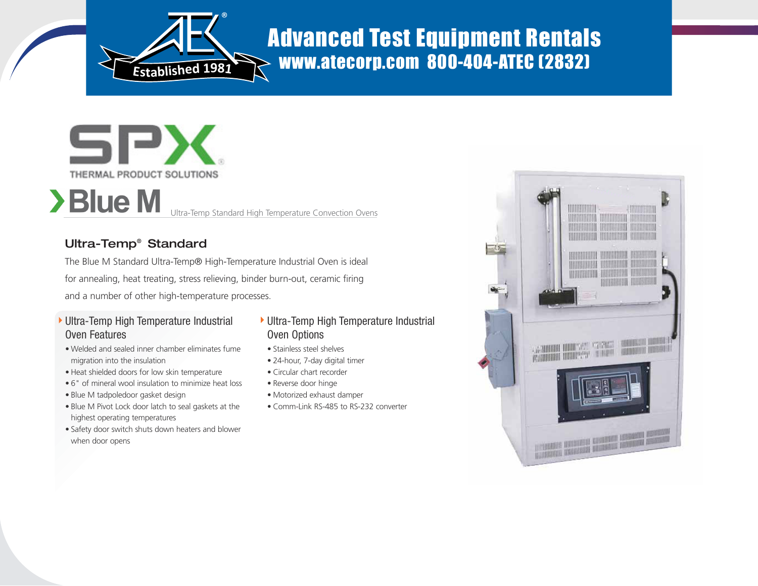

# Advanced Test Equipment Rentals  $\rightarrow$  www.atecorp.com 800-404-ATEC (2832)



Ultra-Temp Standard High Temperature Convection Ovens

## Ultra-Temp® Standard

The Blue M Standard Ultra-Temp® High-Temperature Industrial Oven is ideal for annealing, heat treating, stress relieving, binder burn-out, ceramic firing and a number of other high-temperature processes.

- Ultra-Temp High Temperature Industrial Oven Features
- Welded and sealed inner chamber eliminates fume migration into the insulation
- Heat shielded doors for low skin temperature
- 6" of mineral wool insulation to minimize heat loss
- Blue M tadpoledoor gasket design
- Blue M Pivot Lock door latch to seal gaskets at the highest operating temperatures
- Safety door switch shuts down heaters and blower when door opens

## ▶ Ultra-Temp High Temperature Industrial Oven Options

- Stainless steel shelves
- 24-hour, 7-day digital timer
- Circular chart recorder
- Reverse door hinge
- Motorized exhaust damper
- Comm-Link RS-485 to RS-232 converter